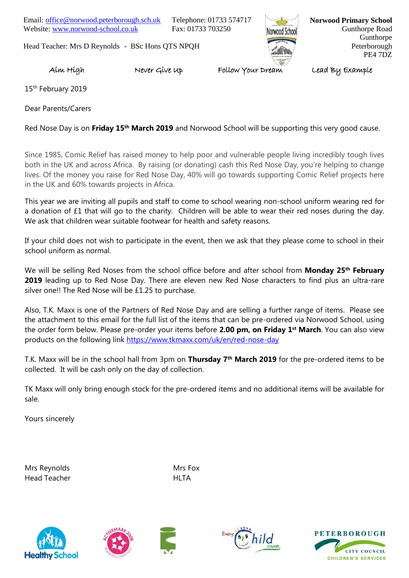Email: [office@norwood.peterborough.sch.uk](mailto:office@norwood.peterborough.sch.uk) Telephone: 01733 574717 Website: [www.norwood-school.co.uk](http://www.norwood-school.co.uk/) Fax: 01733 703250

Head Teacher: Mrs D Reynolds - BSc Hons QTS NPQH



**Norwood Primary School** Gunthorpe Road Gunthorpe Peterborough PE4 7DZ

## Aim High Never Give Up Follow Your Dream Lead By Example

15<sup>th</sup> February 2019

Dear Parents/Carers

Red Nose Day is on **Friday 15th March 2019** and Norwood School will be supporting this very good cause.

Since 1985, Comic Relief has raised money to help poor and vulnerable people living incredibly tough lives both in the UK and across Africa.By raising (or donating) cash this Red Nose Day, you're helping to change lives. Of the money you raise for Red Nose Day, 40% will go towards supporting Comic Relief projects here in the UK and 60% towards projects in Africa.

This year we are inviting all pupils and staff to come to school wearing non-school uniform wearing red for a donation of £1 that will go to the charity. Children will be able to wear their red noses during the day. We ask that children wear suitable footwear for health and safety reasons.

If your child does not wish to participate in the event, then we ask that they please come to school in their school uniform as normal.

We will be selling Red Noses from the school office before and after school from **Monday 25th February 2019** leading up to Red Nose Day. There are eleven new Red Nose characters to find plus an ultra-rare silver one!! The Red Nose will be £1.25 to purchase.

Also, T.K. Maxx is one of the Partners of Red Nose Day and are selling a further range of items. Please see the attachment to this email for the full list of the items that can be pre-ordered via Norwood School, using the order form below. Please pre-order your items before **2.00 pm, on Friday 1st March**. You can also view products on the following link<https://www.tkmaxx.com/uk/en/red-nose-day>

T.K. Maxx will be in the school hall from 3pm on **Thursday 7th March 2019** for the pre-ordered items to be collected. It will be cash only on the day of collection.

TK Maxx will only bring enough stock for the pre-ordered items and no additional items will be available for sale.

Yours sincerely

Mrs Reynolds Mrs Fox Head Teacher **HITA**